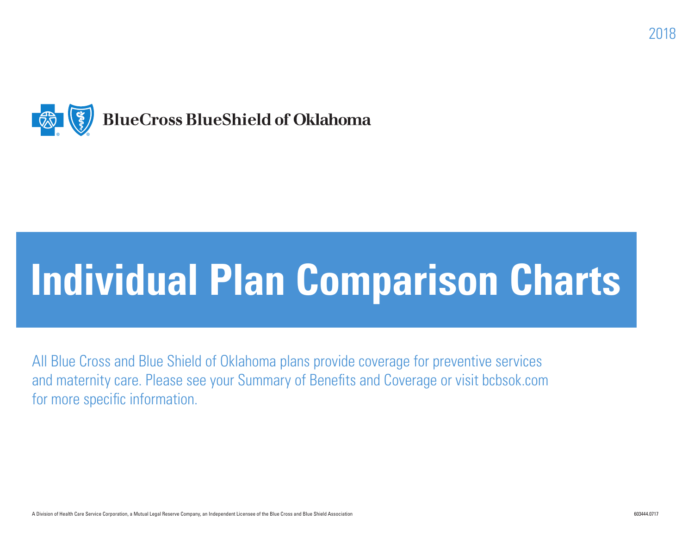

# **Individual Plan Comparison Charts**

All Blue Cross and Blue Shield of Oklahoma plans provide coverage for preventive services and maternity care. Please see your Summary of Benefits and Coverage or visit bcbsok.com for more specific information.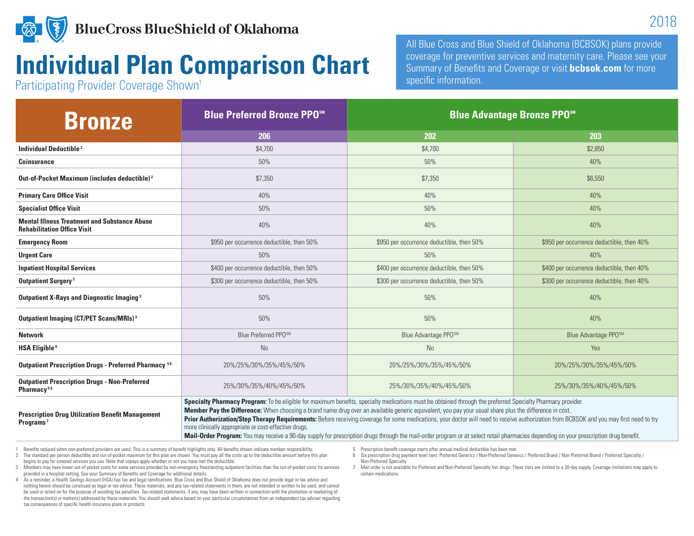

## **Individual Plan Comparison Chart**

Participating Provider Coverage Shown<sup>1</sup>

All Blue Cross and Blue Shield of Oklahoma (BCBSOK) plans provide coverage for preventive services and maternity care. Please see your Summary of Benefits and Coverage or visit **bcbsok.com** for more specific information.

| <b>Bronze</b>                                                                             | <b>Blue Preferred Bronze PPOSM</b>                                                                                                                                                                                                                                                                                                                                                                                                                                                                                                                                                                                                                                                                                                                               | <b>Blue Advantage Bronze PPO</b> <sup>5M</sup> |                                           |
|-------------------------------------------------------------------------------------------|------------------------------------------------------------------------------------------------------------------------------------------------------------------------------------------------------------------------------------------------------------------------------------------------------------------------------------------------------------------------------------------------------------------------------------------------------------------------------------------------------------------------------------------------------------------------------------------------------------------------------------------------------------------------------------------------------------------------------------------------------------------|------------------------------------------------|-------------------------------------------|
|                                                                                           | 206                                                                                                                                                                                                                                                                                                                                                                                                                                                                                                                                                                                                                                                                                                                                                              | 202                                            | 203                                       |
| <b>Individual Deductible<sup>2</sup></b>                                                  | \$4,700                                                                                                                                                                                                                                                                                                                                                                                                                                                                                                                                                                                                                                                                                                                                                          | \$4,700                                        | \$2,850                                   |
| <b>Coinsurance</b>                                                                        | 50%                                                                                                                                                                                                                                                                                                                                                                                                                                                                                                                                                                                                                                                                                                                                                              | 50%                                            | 40%                                       |
| Out-of-Pocket Maximum (includes deductible) <sup>2</sup>                                  | \$7,350                                                                                                                                                                                                                                                                                                                                                                                                                                                                                                                                                                                                                                                                                                                                                          | \$7,350                                        | \$6,550                                   |
| <b>Primary Care Office Visit</b>                                                          | 40%                                                                                                                                                                                                                                                                                                                                                                                                                                                                                                                                                                                                                                                                                                                                                              | 40%                                            | 40%                                       |
| <b>Specialist Office Visit</b>                                                            | 50%                                                                                                                                                                                                                                                                                                                                                                                                                                                                                                                                                                                                                                                                                                                                                              | 50%                                            | 40%                                       |
| <b>Mental Illness Treatment and Substance Abuse</b><br><b>Rehabilitation Office Visit</b> | 40%                                                                                                                                                                                                                                                                                                                                                                                                                                                                                                                                                                                                                                                                                                                                                              | 40%                                            | 40%                                       |
| <b>Emergency Room</b>                                                                     | \$950 per occurrence deductible, then 50%                                                                                                                                                                                                                                                                                                                                                                                                                                                                                                                                                                                                                                                                                                                        | \$950 per occurrence deductible, then 50%      | \$950 per occurrence deductible, then 40% |
| <b>Urgent Care</b>                                                                        | 50%                                                                                                                                                                                                                                                                                                                                                                                                                                                                                                                                                                                                                                                                                                                                                              | 50%                                            | 40%                                       |
| <b>Inpatient Hospital Services</b>                                                        | \$400 per occurrence deductible, then 50%                                                                                                                                                                                                                                                                                                                                                                                                                                                                                                                                                                                                                                                                                                                        | \$400 per occurrence deductible, then 50%      | \$400 per occurrence deductible, then 40% |
| <b>Outpatient Surgery<sup>3</sup></b>                                                     | \$300 per occurrence deductible, then 50%                                                                                                                                                                                                                                                                                                                                                                                                                                                                                                                                                                                                                                                                                                                        | \$300 per occurrence deductible, then 50%      | \$300 per occurrence deductible, then 40% |
| <b>Outpatient X-Rays and Diagnostic Imaging 3</b>                                         | 50%                                                                                                                                                                                                                                                                                                                                                                                                                                                                                                                                                                                                                                                                                                                                                              | 50%                                            | 40%                                       |
| Outpatient Imaging (CT/PET Scans/MRIs) <sup>3</sup>                                       | 50%                                                                                                                                                                                                                                                                                                                                                                                                                                                                                                                                                                                                                                                                                                                                                              | 50%                                            | 40%                                       |
| <b>Network</b>                                                                            | Blue Preferred PPOSM                                                                                                                                                                                                                                                                                                                                                                                                                                                                                                                                                                                                                                                                                                                                             | Blue Advantage PPOSM                           | Blue Advantage PPOSM                      |
| <b>HSA Eligible<sup>4</sup></b>                                                           | No                                                                                                                                                                                                                                                                                                                                                                                                                                                                                                                                                                                                                                                                                                                                                               | <b>No</b>                                      | Yes                                       |
| <b>Outpatient Prescription Drugs - Preferred Pharmacy 56</b>                              | 20%/25%/30%/35%/45%/50%                                                                                                                                                                                                                                                                                                                                                                                                                                                                                                                                                                                                                                                                                                                                          | 20%/25%/30%/35%/45%/50%                        | 20%/25%/30%/35%/45%/50%                   |
| <b>Outpatient Prescription Drugs - Non-Preferred</b><br>Pharmacy <sup>56</sup>            | 25%/30%/35%/40%/45%/50%                                                                                                                                                                                                                                                                                                                                                                                                                                                                                                                                                                                                                                                                                                                                          | 25%/30%/35%/40%/45%/50%                        | 25%/30%/35%/40%/45%/50%                   |
| <b>Prescription Drug Utilization Benefit Management</b><br>Programs <sup>7</sup>          | Specialty Pharmacy Program: To be eligible for maximum benefits, specialty medications must be obtained through the preferred Specialty Pharmacy provider.<br>Member Pay the Difference: When choosing a brand name drug over an available generic equivalent, you pay your usual share plus the difference in cost.<br>Prior Authorization/Step Therapy Requirements: Before receiving coverage for some medications, your doctor will need to receive authorization from BCBSOK and you may first need to try<br>more clinically appropriate or cost-effective drugs.<br>Mail-Order Program: You may receive a 90-day supply for prescription drugs through the mail-order program or at select retail pharmacies depending on your prescription drug benefit. |                                                |                                           |

1 Benefits reduced when non-preferred providers are used. This is a summary of benefit highlights only. All benefits shown indicate member responsibility.

2 The standard per person deductible and out-of-pocket maximum for this plan are shown. You must pay all the costs up to the deductible amount before this plan

begins to pay for covered services you use. Note that copays apply whether or not you have met the deductible.

3 Members may have lower out-of-pocket costs for some services provided by non-emergency freestanding outpatient facilities than the out-of-pocket costs for services provided in a hospital setting. See your Summary of Benefits and Coverage for additional details.

- 4 As a reminder, a Health Savings Account (HSA) has tax and legal ramifications. Blue Cross and Blue Shield of Oklahoma does not provide legal or tax advice and nothing herein should be construed as legal or tax advice. These materials, and any tax-related statements in them, are not intended or written to be used, and cannot be used or relied on for the purpose of avoiding tax penalties. Tax-related statements, if any, may have been written in connection with the promotion or marketing of the transaction(s) or matter(s) addressed by these materials. You should seek advice based on your particular circumstances from an independent tax adviser regarding tax consequences of specific health insurance plans or products.
- 5 Prescription benefit coverage starts after annual medical deductible has been met.
- 6 Six prescription drug payment level tiers: Preferred Generics / Non-Preferred Generics / Preferred Brand / Non-Preferred Brand / Preferred Specialty / Non-Preferred Specialty.
- 7 Mail order is not available for Preferred and Non-Preferred Specialty tier drugs. These tiers are limited to a 30-day supply. Coverage limitations may apply to certain medications.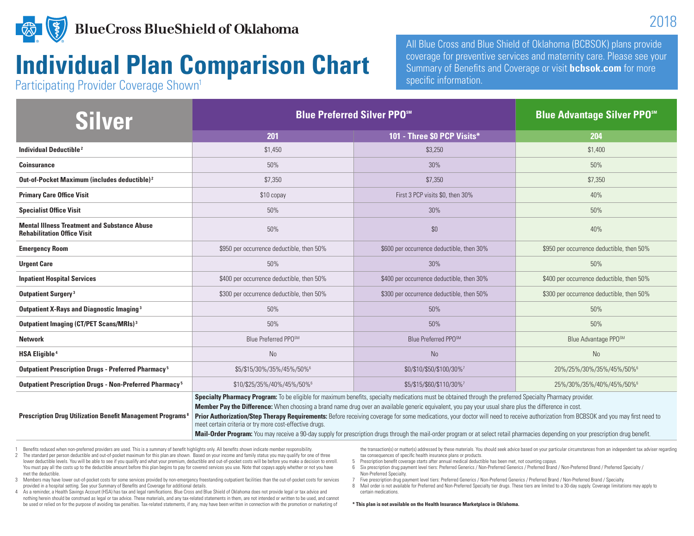

#### **BlueCross BlueShield of Oklahoma**

#### **Individual Plan Comparison Chart**

Participating Provider Coverage Shown<sup>1</sup>

All Blue Cross and Blue Shield of Oklahoma (BCBSOK) plans provide coverage for preventive services and maternity care. Please see your Summary of Benefits and Coverage or visit **bcbsok.com** for more specific information.

| Silver                                                                                    | <b>Blue Preferred Silver PPOSM</b>                                                                                                                                                                                                                                                                                                                                                                                                                                                                                                                                                                                                                                                                                                                              |                                           | <b>Blue Advantage Silver PPO<sup>5M</sup></b> |
|-------------------------------------------------------------------------------------------|-----------------------------------------------------------------------------------------------------------------------------------------------------------------------------------------------------------------------------------------------------------------------------------------------------------------------------------------------------------------------------------------------------------------------------------------------------------------------------------------------------------------------------------------------------------------------------------------------------------------------------------------------------------------------------------------------------------------------------------------------------------------|-------------------------------------------|-----------------------------------------------|
|                                                                                           | 201                                                                                                                                                                                                                                                                                                                                                                                                                                                                                                                                                                                                                                                                                                                                                             | 101 - Three \$0 PCP Visits*               | 204                                           |
| <b>Individual Deductible<sup>2</sup></b>                                                  | \$1,450                                                                                                                                                                                                                                                                                                                                                                                                                                                                                                                                                                                                                                                                                                                                                         | \$3,250                                   | \$1,400                                       |
| <b>Coinsurance</b>                                                                        | 50%                                                                                                                                                                                                                                                                                                                                                                                                                                                                                                                                                                                                                                                                                                                                                             | 30%                                       | 50%                                           |
| Out-of-Pocket Maximum (includes deductible) <sup>2</sup>                                  | \$7,350                                                                                                                                                                                                                                                                                                                                                                                                                                                                                                                                                                                                                                                                                                                                                         | \$7,350                                   | \$7,350                                       |
| <b>Primary Care Office Visit</b>                                                          | \$10 copay                                                                                                                                                                                                                                                                                                                                                                                                                                                                                                                                                                                                                                                                                                                                                      | First 3 PCP visits \$0, then 30%          | 40%                                           |
| <b>Specialist Office Visit</b>                                                            | 50%                                                                                                                                                                                                                                                                                                                                                                                                                                                                                                                                                                                                                                                                                                                                                             | 30%                                       | 50%                                           |
| <b>Mental Illness Treatment and Substance Abuse</b><br><b>Rehabilitation Office Visit</b> | 50%                                                                                                                                                                                                                                                                                                                                                                                                                                                                                                                                                                                                                                                                                                                                                             | \$0                                       | 40%                                           |
| <b>Emergency Room</b>                                                                     | \$950 per occurrence deductible, then 50%                                                                                                                                                                                                                                                                                                                                                                                                                                                                                                                                                                                                                                                                                                                       | \$600 per occurrence deductible, then 30% | \$950 per occurrence deductible, then 50%     |
| <b>Urgent Care</b>                                                                        | 50%                                                                                                                                                                                                                                                                                                                                                                                                                                                                                                                                                                                                                                                                                                                                                             | 30%                                       | 50%                                           |
| <b>Inpatient Hospital Services</b>                                                        | \$400 per occurrence deductible, then 50%                                                                                                                                                                                                                                                                                                                                                                                                                                                                                                                                                                                                                                                                                                                       | \$400 per occurrence deductible, then 30% | \$400 per occurrence deductible, then 50%     |
| <b>Outpatient Surgery<sup>3</sup></b>                                                     | \$300 per occurrence deductible, then 50%                                                                                                                                                                                                                                                                                                                                                                                                                                                                                                                                                                                                                                                                                                                       | \$300 per occurrence deductible, then 50% | \$300 per occurrence deductible, then 50%     |
| <b>Outpatient X-Rays and Diagnostic Imaging 3</b>                                         | 50%                                                                                                                                                                                                                                                                                                                                                                                                                                                                                                                                                                                                                                                                                                                                                             | 50%                                       | 50%                                           |
| Outpatient Imaging (CT/PET Scans/MRIs) <sup>3</sup>                                       | 50%                                                                                                                                                                                                                                                                                                                                                                                                                                                                                                                                                                                                                                                                                                                                                             | 50%                                       | 50%                                           |
| <b>Network</b>                                                                            | Blue Preferred PPOSM                                                                                                                                                                                                                                                                                                                                                                                                                                                                                                                                                                                                                                                                                                                                            | Blue Preferred PPOSM                      | Blue Advantage PPOSM                          |
| <b>HSA Eligible<sup>4</sup></b>                                                           | <b>No</b>                                                                                                                                                                                                                                                                                                                                                                                                                                                                                                                                                                                                                                                                                                                                                       | <b>No</b>                                 | <b>No</b>                                     |
| Outpatient Prescription Drugs - Preferred Pharmacy <sup>5</sup>                           | \$5/\$15/30%/35%/45%/50%                                                                                                                                                                                                                                                                                                                                                                                                                                                                                                                                                                                                                                                                                                                                        | \$0/\$10/\$50/\$100/30%7                  | 20%/25%/30%/35%/45%/50%                       |
| Outpatient Prescription Drugs - Non-Preferred Pharmacy <sup>5</sup>                       | \$10/\$25/35%/40%/45%/50%                                                                                                                                                                                                                                                                                                                                                                                                                                                                                                                                                                                                                                                                                                                                       | \$5/\$15/\$60/\$110/30%7                  | 25%/30%/35%/40%/45%/50%                       |
| <b>Prescription Drug Utilization Benefit Management Programs<sup>8</sup></b>              | Specialty Pharmacy Program: To be eligible for maximum benefits, specialty medications must be obtained through the preferred Specialty Pharmacy provider.<br>Member Pay the Difference: When choosing a brand name drug over an available generic equivalent, you pay your usual share plus the difference in cost.<br>Prior Authorization/Step Therapy Requirements: Before receiving coverage for some medications, your doctor will need to receive authorization from BCBSOK and you may first need to<br>meet certain criteria or try more cost-effective drugs.<br>Mail-Order Program: You may receive a 90-day supply for prescription drugs through the mail-order program or at select retail pharmacies depending on your prescription drug benefit. |                                           |                                               |

1 Benefits reduced when non-preferred providers are used. This is a summary of benefit highlights only. All benefits shown indicate member responsibility.

2 The standard per person deductible and out-of-pocket maximum for this plan are shown. Based on your income and family status you may qualify for one of three lower deductible levels. You will be able to see if you qualify and what your premium, deductible and out-of-pocket costs will be before you make a decision to enroll. You must pay all the costs up to the deductible amount before this plan begins to pay for covered services you use. Note that copays apply whether or not you have met the deductible.

the transaction(s) or matter(s) addressed by these materials. You should seek advice based on your particular circumstances from an independent tax adviser regarding tax consequences of specific health insurance plans or products.

- 5 Prescription benefit coverage starts after annual medical deductible has been met, not counting copays.
- 6 Six prescription drug payment level tiers: Preferred Generics / Non-Preferred Generics / Preferred Brand / Non-Preferred Brand / Preferred Specialty / Non-Preferred Specialty.
- 3 Members may have lower out-of-pocket costs for some services provided by non-emergency freestanding outpatient facilities than the out-of-pocket costs for services provided in a hospital setting. See your Summary of Benefits and Coverage for additional details.

4 As a reminder, a Health Savings Account (HSA) has tax and legal ramifications. Blue Cross and Blue Shield of Oklahoma does not provide legal or tax advice and nothing herein should be construed as legal or tax advice. These materials, and any tax-related statements in them, are not intended or written to be used, and cannot be used or relied on for the purpose of avoiding tax penalties. Tax-related statements, if any, may have been written in connection with the promotion or marketing of

7 Five prescription drug payment level tiers: Preferred Generics / Non-Preferred Generics / Preferred Brand / Non-Preferred Brand / Specialty. 8 Mail order is not available for Preferred and Non-Preferred Specialty tier drugs. These tiers are limited to a 30-day supply. Coverage limitations may apply to certain medications.

#### **\* This plan is not available on the Health Insurance Marketplace in Oklahoma.**